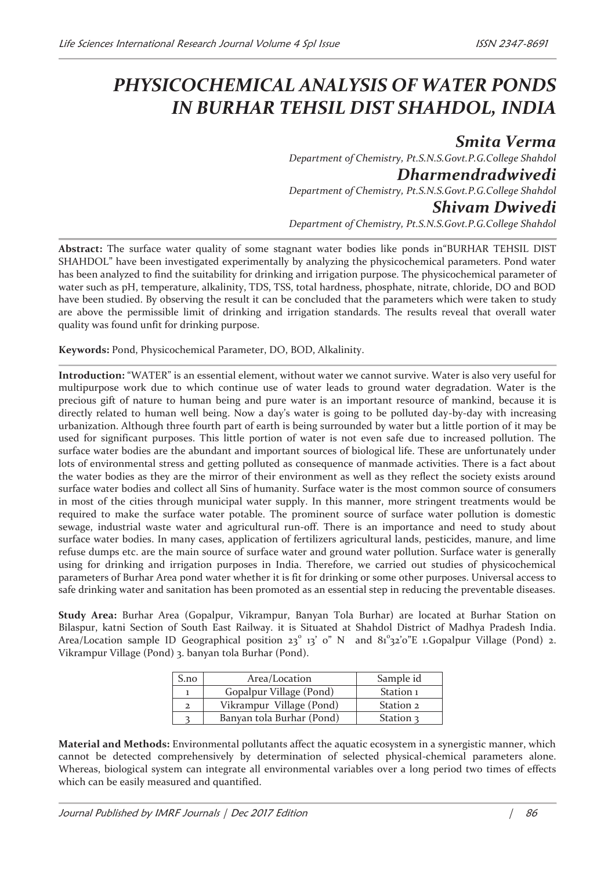## *PHYSICOCHEMICAL ANALYSIS OF WATER PONDS IN BURHAR TEHSIL DIST SHAHDOL, INDIA*

*Smita Verma Department of Chemistry, Pt.S.N.S.Govt.P.G.College Shahdol Dharmendradwivedi Department of Chemistry, Pt.S.N.S.Govt.P.G.College Shahdol Shivam Dwivedi Department of Chemistry, Pt.S.N.S.Govt.P.G.College Shahdol* 

**Abstract:** The surface water quality of some stagnant water bodies like ponds in"BURHAR TEHSIL DIST SHAHDOL" have been investigated experimentally by analyzing the physicochemical parameters. Pond water has been analyzed to find the suitability for drinking and irrigation purpose. The physicochemical parameter of water such as pH, temperature, alkalinity, TDS, TSS, total hardness, phosphate, nitrate, chloride, DO and BOD have been studied. By observing the result it can be concluded that the parameters which were taken to study are above the permissible limit of drinking and irrigation standards. The results reveal that overall water quality was found unfit for drinking purpose.

**Keywords:** Pond, Physicochemical Parameter, DO, BOD, Alkalinity.

**Introduction:** "WATER" is an essential element, without water we cannot survive. Water is also very useful for multipurpose work due to which continue use of water leads to ground water degradation. Water is the precious gift of nature to human being and pure water is an important resource of mankind, because it is directly related to human well being. Now a day's water is going to be polluted day-by-day with increasing urbanization. Although three fourth part of earth is being surrounded by water but a little portion of it may be used for significant purposes. This little portion of water is not even safe due to increased pollution. The surface water bodies are the abundant and important sources of biological life. These are unfortunately under lots of environmental stress and getting polluted as consequence of manmade activities. There is a fact about the water bodies as they are the mirror of their environment as well as they reflect the society exists around surface water bodies and collect all Sins of humanity. Surface water is the most common source of consumers in most of the cities through municipal water supply. In this manner, more stringent treatments would be required to make the surface water potable. The prominent source of surface water pollution is domestic sewage, industrial waste water and agricultural run-off. There is an importance and need to study about surface water bodies. In many cases, application of fertilizers agricultural lands, pesticides, manure, and lime refuse dumps etc. are the main source of surface water and ground water pollution. Surface water is generally using for drinking and irrigation purposes in India. Therefore, we carried out studies of physicochemical parameters of Burhar Area pond water whether it is fit for drinking or some other purposes. Universal access to safe drinking water and sanitation has been promoted as an essential step in reducing the preventable diseases.

**Study Area:** Burhar Area (Gopalpur, Vikrampur, Banyan Tola Burhar) are located at Burhar Station on Bilaspur, katni Section of South East Railway. it is Situated at Shahdol District of Madhya Pradesh India. Area/Location sample ID Geographical position 23° 13' 0" N and  $81^\circ$ 32'0"E 1.Gopalpur Village (Pond) 2. Vikrampur Village (Pond) 3. banyan tola Burhar (Pond).

| S.no | Area/Location             | Sample id |
|------|---------------------------|-----------|
|      | Gopalpur Village (Pond)   | Station 1 |
| 2    | Vikrampur Village (Pond)  | Station 2 |
|      | Banyan tola Burhar (Pond) | Station 3 |

**Material and Methods:** Environmental pollutants affect the aquatic ecosystem in a synergistic manner, which cannot be detected comprehensively by determination of selected physical-chemical parameters alone. Whereas, biological system can integrate all environmental variables over a long period two times of effects which can be easily measured and quantified.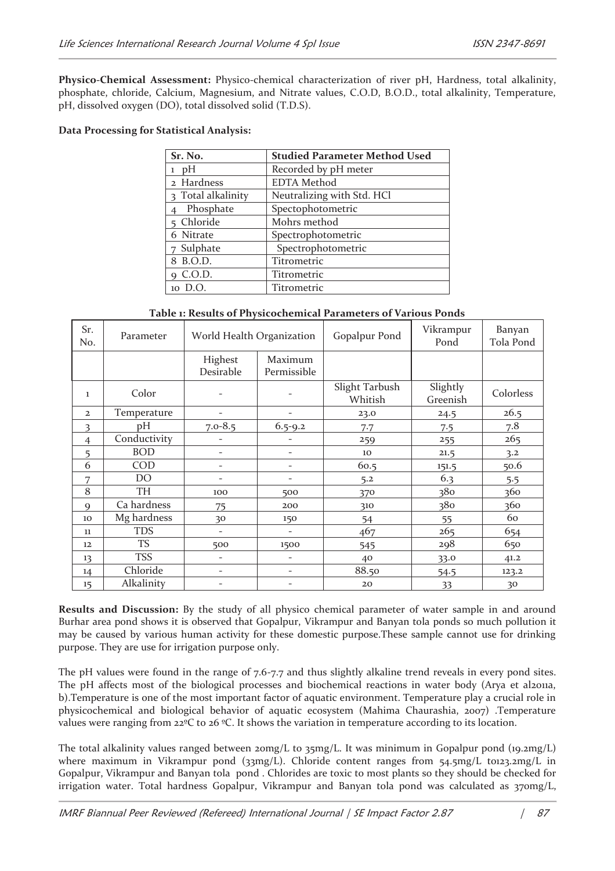**Physico-Chemical Assessment:** Physico-chemical characterization of river pH, Hardness, total alkalinity, phosphate, chloride, Calcium, Magnesium, and Nitrate values, C.O.D, B.O.D., total alkalinity, Temperature, pH, dissolved oxygen (DO), total dissolved solid (T.D.S).

## **Data Processing for Statistical Analysis:**

| Sr. No.            | <b>Studied Parameter Method Used</b> |  |  |  |
|--------------------|--------------------------------------|--|--|--|
| $1$ pH             | Recorded by pH meter                 |  |  |  |
| 2 Hardness         | <b>EDTA</b> Method                   |  |  |  |
| 3 Total alkalinity | Neutralizing with Std. HCl           |  |  |  |
| Phosphate          | Spectophotometric                    |  |  |  |
| Chloride           | Mohrs method                         |  |  |  |
| 6 Nitrate          | Spectrophotometric                   |  |  |  |
| 7 Sulphate         | Spectrophotometric                   |  |  |  |
| 8 B.O.D.           | Titrometric                          |  |  |  |
| 9 C.O.D.           | Titrometric                          |  |  |  |
| 10 D.O.            | Titrometric                          |  |  |  |

**Table 1: Results of Physicochemical Parameters of Various Ponds**

| Sr.<br>No.        | Parameter    | World Health Organization |                          | Gopalpur Pond             | Vikrampur<br>Pond    | Banyan<br>Tola Pond |
|-------------------|--------------|---------------------------|--------------------------|---------------------------|----------------------|---------------------|
|                   |              | Highest                   | Maximum                  |                           |                      |                     |
|                   |              | Desirable                 | Permissible              |                           |                      |                     |
| 1                 | Color        |                           |                          | Slight Tarbush<br>Whitish | Slightly<br>Greenish | Colorless           |
| $\overline{2}$    | Temperature  | $\overline{\phantom{0}}$  | $\overline{\phantom{0}}$ | 23.0                      | 24.5                 | 26.5                |
| 3                 | рH           | $7.0 - 8.5$               | $6.5 - 9.2$              | 7.7                       | 7.5                  | 7.8                 |
| $\overline{4}$    | Conductivity | -                         | -                        | 259                       | 255                  | 265                 |
| 5                 | <b>BOD</b>   | $\overline{\phantom{0}}$  | $\overline{\phantom{0}}$ | 10                        | 21.5                 | 3.2                 |
| 6                 | COD          | $\overline{\phantom{0}}$  | $\overline{\phantom{0}}$ | 60.5                      | 151.5                | 50.6                |
| 7                 | DO           | $\overline{\phantom{0}}$  | $\overline{\phantom{0}}$ | 5.2                       | 6.3                  | 5.5                 |
| 8                 | <b>TH</b>    | 100                       | 500                      | 370                       | 380                  | 360                 |
| 9                 | Ca hardness  | 75                        | 200                      | 310                       | 380                  | 360                 |
| 10                | Mg hardness  | 30                        | 150                      | 54                        | 55                   | 60                  |
| 11                | <b>TDS</b>   | $\overline{\phantom{0}}$  | $\overline{\phantom{0}}$ | 467                       | 265                  | 654                 |
| $12 \overline{ }$ | <b>TS</b>    | 500                       | 1500                     | 545                       | 298                  | 650                 |
| 13                | <b>TSS</b>   | $\overline{\phantom{0}}$  | $\overline{\phantom{a}}$ | 40                        | 33.0                 | 41.2                |
| 14                | Chloride     | -                         | $\overline{\phantom{0}}$ | 88.50                     | 54.5                 | 123.2               |
| 15                | Alkalinity   |                           |                          | 20                        | 33                   | 30                  |

**Results and Discussion:** By the study of all physico chemical parameter of water sample in and around Burhar area pond shows it is observed that Gopalpur, Vikrampur and Banyan tola ponds so much pollution it may be caused by various human activity for these domestic purpose.These sample cannot use for drinking purpose. They are use for irrigation purpose only.

The pH values were found in the range of 7.6-7.7 and thus slightly alkaline trend reveals in every pond sites. The pH affects most of the biological processes and biochemical reactions in water body (Arya et al2011a, b).Temperature is one of the most important factor of aquatic environment. Temperature play a crucial role in physicochemical and biological behavior of aquatic ecosystem (Mahima Chaurashia, 2007) .Temperature values were ranging from 22ºC to 26 ºC. It shows the variation in temperature according to its location.

The total alkalinity values ranged between  $2 \text{omg/L}$  to  $3 \text{cmg/L}$ . It was minimum in Gopalpur pond (19.2mg/L) where maximum in Vikrampur pond ( $33$ mg/L). Chloride content ranges from  $54.5$ mg/L to123.2mg/L in Gopalpur, Vikrampur and Banyan tola pond . Chlorides are toxic to most plants so they should be checked for irrigation water. Total hardness Gopalpur, Vikrampur and Banyan tola pond was calculated as 370mg/L,